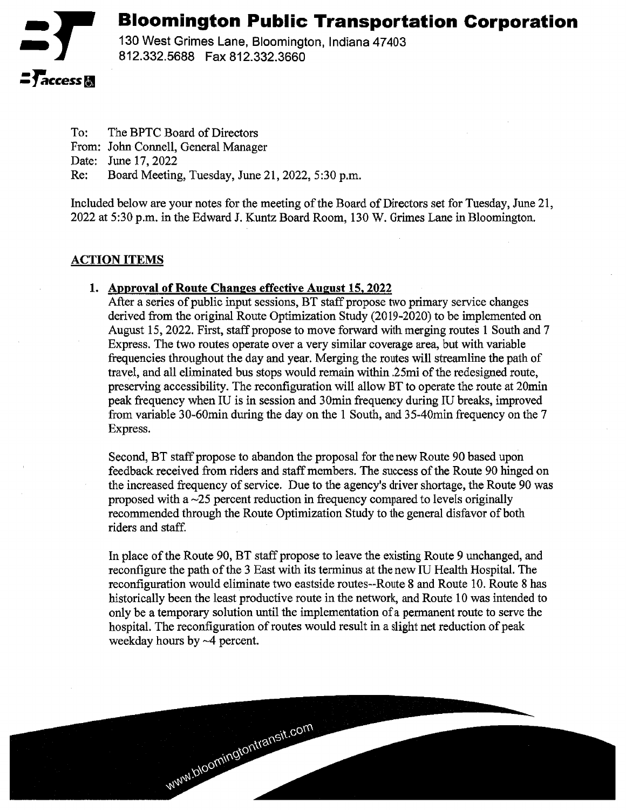# **Bloomington Public Transportation Corporation**



130 West Grimes Lane, Bloomington, Indiana 47403 812.332.5688 Fax 812.332.3660

To: The BPTC Board of Directors

From: John Connell, General Manager

Date: June 17, 2022

Re: Board Meeting, Tuesday, June 21, 2022, 5:30 p.m.

Included below are your notes for the meeting of the Board of Directors set for Tuesday, June 21, 2022 at 5:30 p.m. in the Edward J. Kuntz Board Room, 130 W. Grimes Lane in Bloomington.

# **ACTION ITEMS**

# **1. Approval of Route Changes effective August 15, 2022**

www.bloomingtontransit.com

After a series of public input sessions, BT staff propose two primary service changes derived from the original Route Optimization Study (2019-2020) to be implemented on August 15, 2022, First, staff propose to move forward with merging routes 1 South and 7 Express. The two routes operate over a very similar coverage area, but with variable frequencies throughout the day and year. Merging the routes will streamline the path of travel, and all eliminated bus stops would remain within .25mi of the redesigned route, preserving accessibility. The reconfiguration will allow BT to operate the route at 20min peak frequency when IU is in session and 30min frequency during IU breaks, improved from variable 30-60min during the day on the 1 South, and 35-40min frequency on the 7 **Express.**

Second, BT staff propose to abandon the proposal for the new Route 90 based upon feedback received from riders and staff members. The success of the Route 90 hinged on the increased frequency of service. Due to the agency's driver shortage, the Route 90 was proposed with a  $\sim$ 25 percent reduction in frequency compared to levels originally recommended through the Route Optimization Study to the general disfavor of both riders and staff.

In place of the Route 90, BT staff propose to leave the existing Route 9 unchanged, and reconfigure the path of the 3 East with its terminus at the new IU Health Hospital. The reconfiguration would eliminate two eastside routes--Route 8 and Route 10. Route 8 has historically been the least productive route in the network, and Route 10 was intended to only be a temporary solution until the implementation of a permanent route to serve the hospital. The reconfiguration of routes would result in a slight net reduction of peak weekday hours by ~4 percent.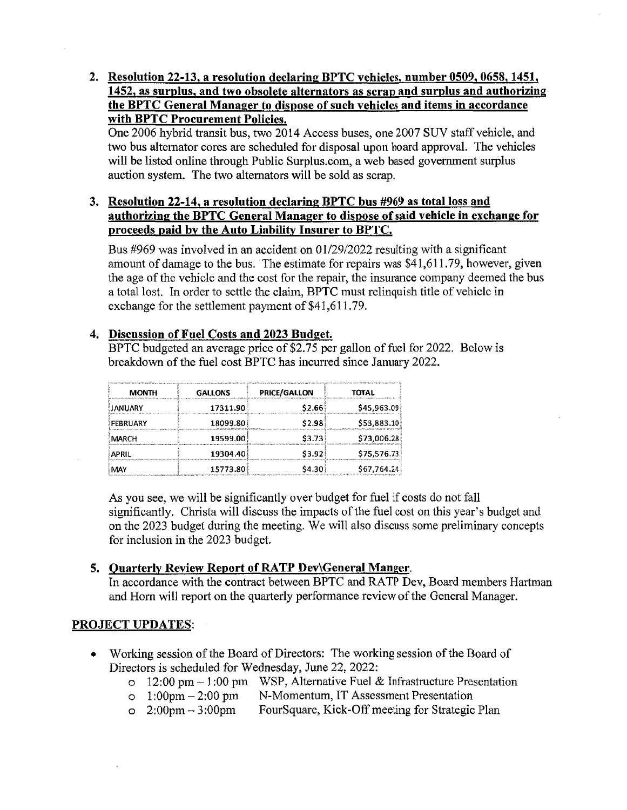**2. Resolution 22-13. a resolution declaring BPTC vehicles, number 0509. 0658,1451, 1452, as surplus, and two obsolete alternators as scrap and surplus and authorizing the BPTC General Manager to dispose of such vehicles and items in accordance with BPTC Procurement Policies.**

One 2006 hybrid transit bus, two 2014 Access buses, one 2007 SUV staff vehicle, and two bus alternator cores are scheduled for disposal upon board approval. The vehicles will be listed online through Public Surplus.com, a web based government surplus auction system. The two alternators will be sold as scrap.

# **3. Resolution 22-14, a resolution declaring BPTC bus #969 as total loss and authorizing the BPTC General Manager to dispose of said vehicle in exchange for proceeds paid bv the Auto Liability Insurer to BPTC.**

Bus #969 was involved in an accident on 01/29/2022 resulting with a significant amount of damage to the bus. The estimate for repairs was \$41,611.79, however, given the age of the vehicle and the cost for the repair, the insurance company deemed the bus a total lost. In order to settle the claim, BPTC must relinquish title of vehicle in exchange for the settlement payment of \$41,611.79.

# **4. Discussion of Fuel Costs and 2023 Budget**

BPTC budgeted an average price of \$2.75 per gallon of fuel for 2022. Below is breakdown of the fuel cost BPTC has incurred since January 2022.

| <b>MONTH</b> | <b>GALLONS</b> | <b>PRICE/GALLON</b> | TOTAL       |
|--------------|----------------|---------------------|-------------|
| JANUARY      | 17311.90       | \$2.66\$            | \$45,963.09 |
| FEBRUARY     | 18099.80       | \$2.98              | \$53,883.10 |
| <b>MARCH</b> | 19599.00       | \$3.73              | \$73,006.28 |
| <b>APRIL</b> | 19304.40       | \$3.92              | \$75,576.73 |
| MAY          | 15773.80       | \$4.30              | \$67.764.24 |

As you see, we will be significantly over budget for fuel if costs do not fall significantly. Christa will discuss the impacts of the fuel cost on this year's budget and on the 2023 budget during the meeting. We will also discuss some preliminary concepts for inclusion in the 2023 budget.

# **5. Quarterly Review Report of RATP Dev\General Manger.**

In accordance with the contract between BPTC and RATP Dev, Board members Hartman and Horn will report on the quarterly performance review of the General Manager.

# **PROJECT UPDATES:**

- \* Working session of the Board of Directors: The working session of the Board of Directors is scheduled for Wednesday, June 22, 2022;
	- o 12:00 pm 1:00 pm WSP, Alternative Fuel & Infrastructure Presentation<br>
	o 1:00pm 2:00 pm N-Momentum, IT Assessment Presentation
	- o  $1:00 \text{pm} 2:00 \text{pm}$  N-Momentum, IT Assessment Presentation<br>o  $2:00 \text{pm} 3:00 \text{pm}$  FourSquare, Kick-Off meeting for Strategic
	- FourSquare, Kick-Off meeting for Strategic Plan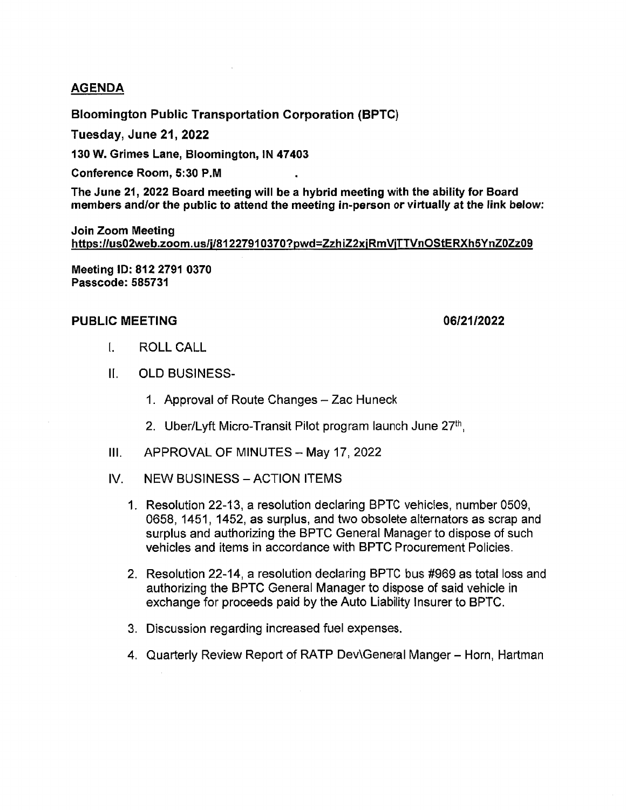# **AGENDA**

**Bloomington Public Transportation Corporation (BPTC)**

**Tuesday, June 21, 2022**

**130 W. Grimes Lane, Bloomington, IN 47403**

**Conference Room, 5:30 P.M**

**The June 21, 2022 Board meeting will be a hybrid meeting with the ability for Board members and/or the public to attend the meeting in-person or virtually at the (ink below:**

**Join Zoom Meeting [https://us02web.zoom .us/i/81227910370? Dwd=ZzhiZ2xiRmViTTVnOStERXh5YnZQZzQ9](https://us02web.zoom_.us/i/81227910370?_Dwd=ZzhiZ2xiRmViTTVnOStERXh5YnZQZzQ9)**

**Meeting ID: 812 2791 0370 Passcode:585731**

#### **PUBLIC MEETING 2008/21/2022**

- I. ROLL CALL
- II. OLD BUSINESS-
	- 1. Approval of Route Changes Zac Huneck
	- 2. Uber/Lyft Micro-Transit Pilot program launch June 27<sup>th</sup>,
- III. APPROVAL OF MINUTES May 17, 2022
- IV. NEW BUSINESS ACTION ITEMS
	- 1. Resolution 22-13, a resolution declaring BPTC vehicles, number 0509, 0658, 1451, 1452, as surplus, and two obsolete alternators as scrap and surplus and authorizing the BPTC General Manager to dispose of such vehicles and items in accordance with BPTC Procurement Policies.
	- 2. Resolution 22-14, a resolution declaring BPTC bus #969 as total loss and authorizing the BPTC General Manager to dispose of said vehicle in exchange for proceeds paid by the Auto Liability Insurer to BPTC.
	- 3. Discussion regarding increased fuel expenses.
	- 4. Quarterly Review Report of RATP Dev\General Manger Horn, Hartman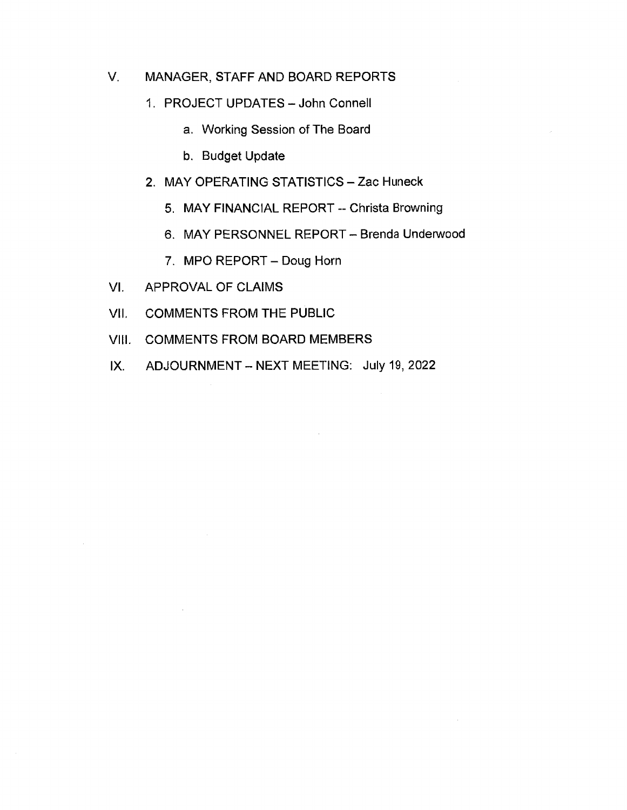- V. MANAGER, STAFF AND BOARD REPORTS
	- 1. PROJECT UPDATES John Connell
		- a. Working Session of The Board
		- b. Budget Update
	- 2. MAY OPERATING STATISTICS Zac Huneck
		- 5. MAY FINANCIAL REPORT Christa Browning
		- 6. MAY PERSONNEL REPORT Brenda Underwood
		- 7. MPO REPORT Doug Horn
- VI. APPROVAL OF CLAIMS
- VII. COMMENTS FROM THE PUBLIC
- VIII. COMMENTS FROM BOARD MEMBERS
- IX. ADJOURNMENT NEXT MEETING: July 19, 2022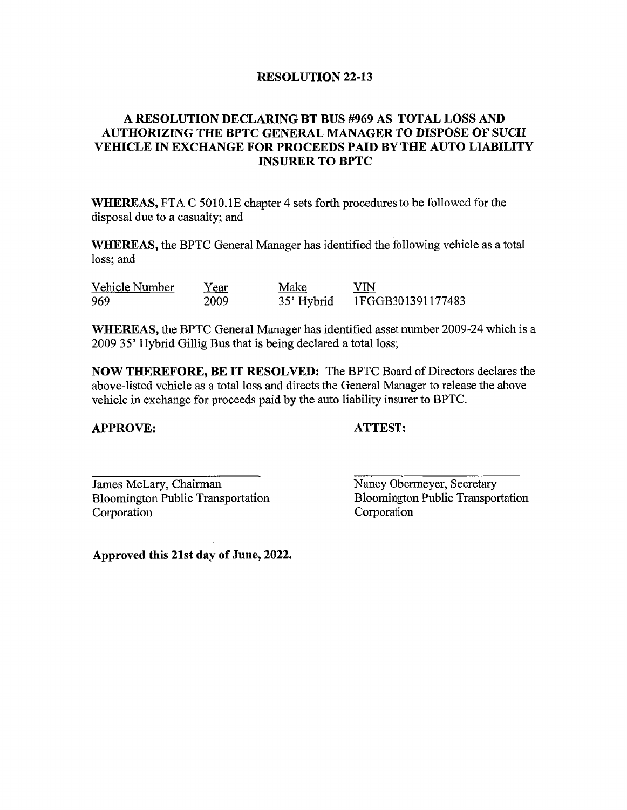#### **RESOLUTION 22-13**

### **A RESOLUTION DECLARING BT BUS #969 AS TOTAL LOSS AND AUTHORIZING THE BPTC GENERAL MANAGER TO DISPOSE OF SUCH VEHICLE IN EXCHANGE FOR PROCEEDS PAID BY THE AUTO LIABILITY INSURER TO BPTC**

WHEREAS, FTA C 5010.1E chapter 4 sets forth procedures to be followed for the disposal due to a casualty; and

**WHEREAS,** the BPTC General Manager has identified the following vehicle as a total loss; and

| Vehicle Number | Year | Make       | VIN               |
|----------------|------|------------|-------------------|
| 969            | 2009 | 35' Hybrid | 1FGGB301391177483 |

**WHEREAS,** the BPTC General Manager has identified asset number 2009-24 which is a 2009 35' Hybrid Gillig Bus that is being declared a total loss;

**NOW THEREFORE, BE IT RESOLVED:** The BPTC Board of Directors declares the above-listed vehicle as a total loss and directs the General Manager to release the above vehicle in exchange for proceeds paid by the auto liability insurer to BPTC.

#### **APPROVE: ATTEST:**

James McLary, Chairman Nancy Obermeyer, Secretary<br>Bloomington Public Transportation Bloomington Public Transportation Bloomington Public Transportation Bloomington Bloomington Corporation **Corporation** 

**Approved this 21st day of June, 2022.**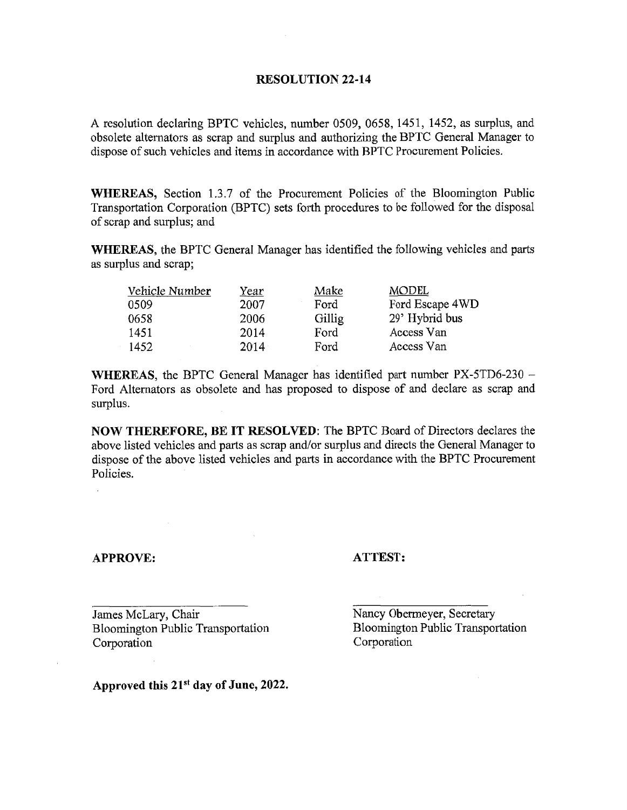#### **RESOLUTION 22-14**

A resolution declaring BPTC vehicles, number 0509, 0658, 1451, 1452, as surplus, and obsolete alternators as scrap and surplus and authorizing the BPTC General Manager to dispose of such vehicles and items in accordance with BPTC Procurement Policies.

WHEREAS, Section 1,3.7 of the Procurement Policies of the Bloomington Public Transportation Corporation (BPTC) sets forth procedures to be followed for the disposal of scrap and surplus; and

WHEREAS, the BPTC General Manager has identified the following vehicles and parts as surplus and scrap;

| Vehicle Number | <u>Year</u> | Make   | <b>MODEL</b>    |
|----------------|-------------|--------|-----------------|
| 0509           | 2007        | Ford   | Ford Escape 4WD |
| 0658           | 2006        | Gillig | 29' Hybrid bus  |
| 1451           | 2014        | Ford   | Access Van      |
| 1452           | 2014        | Ford   | Access Van      |

WHEREAS, the BPTC General Manager has identified part number PX-5TD6-230 -Ford Alternators as obsolete and has proposed to dispose of and declare as scrap and surplus.

NOW THEREFORE, BE IT RESOLVED: The BPTC Board of Directors declares the above listed vehicles and parts as scrap and/or surplus and directs the General Manager to dispose of the above listed vehicles and parts in accordance with the BPTC Procurement Policies.

#### APPROVE: ATTEST:

James McLary, Chair Bloomington Public Transportation Corporation

Nancy Obermeyer, Secretary Bloomington Public Transportation Corporation

**Approved this 21st day of June, 2022.**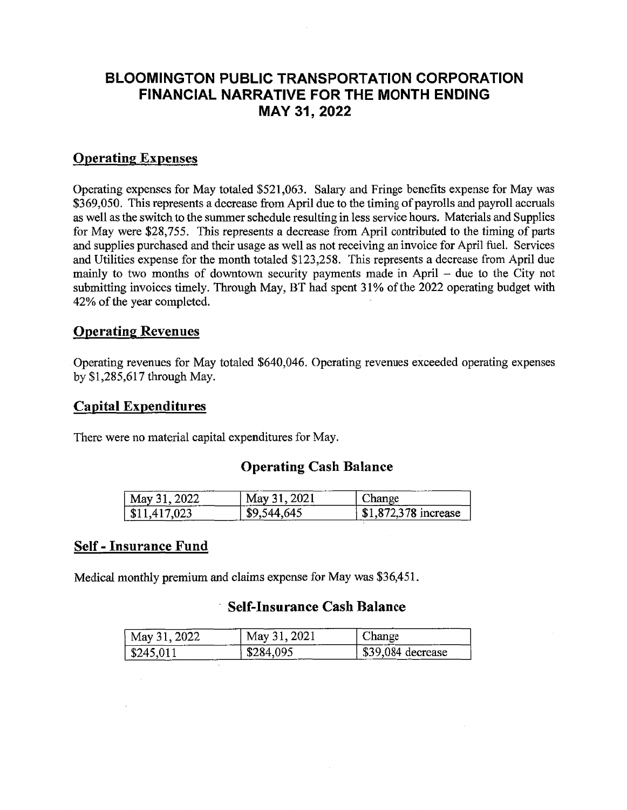# **BLOOMINGTON PUBLIC TRANSPORTATION CORPORATION FINANCIAL NARRATIVE FOR THE MONTH ENDING MAY 31, 2022**

# **Operating Expenses**

Operating expenses for May totaled \$521,063. Salary and Fringe benefits expense for May was \$369,050. This represents a decrease from April due to the timing of payrolls and payroll accruals as well as the switch to the summer schedule resulting in less service hours. Materials and Supplies for May were \$28,755. This represents a decrease from April contributed to the timing of parts and supplies purchased and their usage as well as not receiving an invoice for April fuel. Services and Utilities expense for the month totaled \$123,258. This represents a decrease from April due mainly to two months of downtown security payments made in April  $-$  due to the City not submitting invoices timely. Through May, BT had spent 31% of the 2022 operating budget with 42% of the year completed.

# **Operating Revenues**

Operating revenues for May totaled \$640,046. Operating revenues exceeded operating expenses by \$1,285,617 through May.

# **Capital Expenditures**

There were no material capital expenditures for May.

# **Operating Cash Balance**

| 31 2022                            | 1.2021                  | ---                    |
|------------------------------------|-------------------------|------------------------|
| $\text{Mav}$                       | May 31                  | ange                   |
| .417.023<br>  \$1<br><b>Langer</b> | 544.645<br>59<br>$\sim$ | .872,378 increase<br>D |

# **Self - Insurance Fund**

Medical monthly premium and claims expense for May was \$36,451.

# **Self-Insurance Cash Balance**

| May 31, 2022 | $\frac{1}{2}$ May 31, 2021 | Change            |
|--------------|----------------------------|-------------------|
| \$245,011    | \$284,095                  | \$39,084 decrease |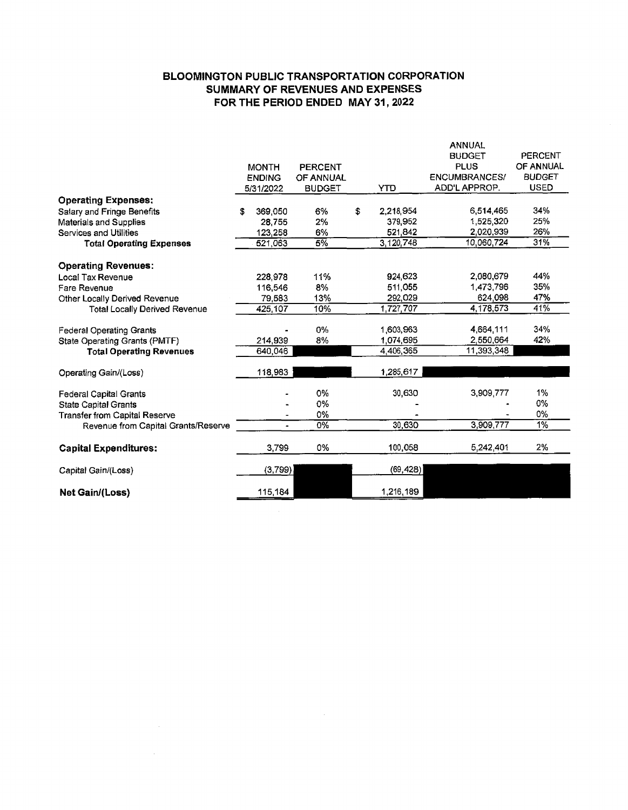#### **BLOOMINGTON PUBLIC TRANSPORTATION CORPORATION SUMMARY OF REVENUES AND EXPENSES FOR THE PERIOD ENDED MAY 31,2022**

|                                      |   |               |                |     |           | ANNUAL               |                |
|--------------------------------------|---|---------------|----------------|-----|-----------|----------------------|----------------|
|                                      |   |               |                |     |           | <b>BUDGET</b>        | <b>PERCENT</b> |
|                                      |   | <b>MONTH</b>  | <b>PERCENT</b> |     |           | <b>PLUS</b>          | OF ANNUAL      |
|                                      |   | <b>ENDING</b> | OF ANNUAL      |     |           | <b>ENCUMBRANCES/</b> | <b>BUDGET</b>  |
|                                      |   | 5/31/2022     | <b>BUDGET</b>  |     | YTD       | ADD'L APPROP.        | <b>USED</b>    |
| <b>Operating Expenses:</b>           |   |               |                |     |           |                      |                |
| Salary and Fringe Benefits           | S | 369,050       | 6%             | \$. | 2,218,954 | 6.514.465            | 34%            |
| <b>Materials and Supplies</b>        |   | 28,755        | 2%             |     | 379,952   | 1,525,320            | 25%            |
| Services and Utilities               |   | 123,258       | 6%             |     | 521,842   | 2.020.939            | 26%            |
| <b>Total Operating Expenses</b>      |   | 521,063       | 5%             |     | 3,120,748 | 10,060,724           | 31%            |
| <b>Operating Revenues:</b>           |   |               |                |     |           |                      |                |
| Local Tax Revenue                    |   | 228,978       | 11%            |     | 924,623   | 2,080,679            | 44%            |
| Fare Revenue                         |   | 116,546       | 8%             |     | 511,055   | 1,473,796            | 35%            |
| Other Locally Derived Revenue        |   | 79,583        | 13%            |     | 292.029   | 624,098              | 47%            |
| <b>Total Locally Derived Revenue</b> |   | 425,107       | 10%            |     | 1,727,707 | 4,178,573            | 41%            |
|                                      |   |               |                |     |           |                      |                |
| <b>Federal Operating Grants</b>      |   |               | 0%             |     | 1,603,963 | 4,664,111            | 34%            |
| State Operating Grants (PMTF)        |   | 214,939       | 8%             |     | 1,074,695 | 2.550,664            | 42%            |
| <b>Total Operating Revenues</b>      |   | 640,046       |                |     | 4,406,365 | 11,393,348           |                |
| Operating Gain/(Loss)                |   | 118,983       |                |     | 1,285,617 |                      |                |
| <b>Federal Capital Grants</b>        |   |               | 0%             |     | 30,630    | 3,909,777            | 1%             |
| <b>State Capital Grants</b>          |   |               | 0%             |     |           |                      | 0%             |
| <b>Transfer from Capital Reserve</b> |   |               | 0%             |     |           |                      | 0%             |
| Revenue from Capital Grants/Reserve  |   |               | 0%             |     | 30,630    | 3,909,777            | 1%             |
| <b>Capital Expenditures:</b>         |   | 3,799         | 0%             |     | 100,058   | 5,242,401            | 2%             |
| Capital Gain/(Loss)                  |   | (3,799)       |                |     | (69, 428) |                      |                |
| Net Gain/(Loss)                      |   | 115,184       |                |     | 1,216,189 |                      |                |
|                                      |   |               |                |     |           |                      |                |

 $\sim 10^{-1}$ 

 $\sim 10^{-1}$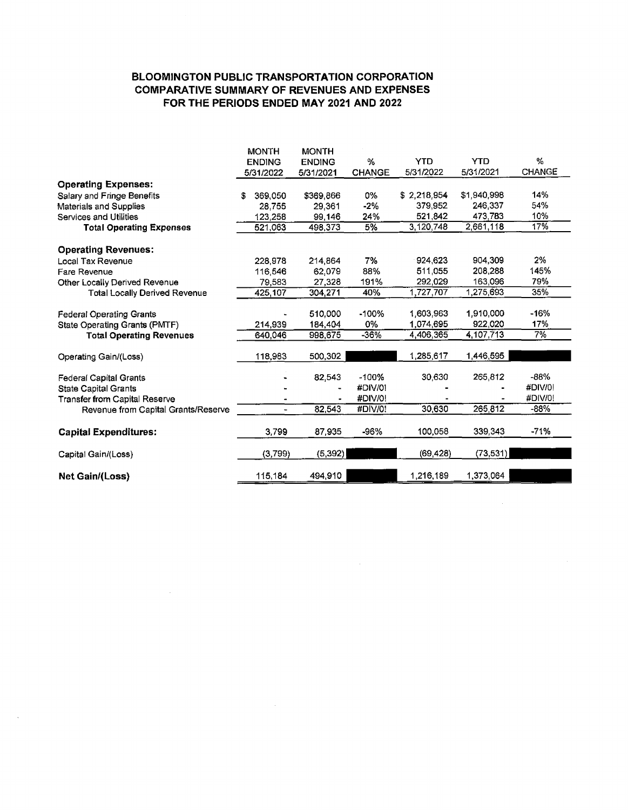#### **BLOOMINGTON PUBLIC TRANSPORTATION CORPORATION COMPARATIVE SUMMARY OF REVENUES AND EXPENSES FOR THE PERIODS ENDED MAY 2021 AND 2022**

|                                      | <b>MONTH</b>   | <b>MONTH</b>  |               |             |             |               |
|--------------------------------------|----------------|---------------|---------------|-------------|-------------|---------------|
|                                      | <b>ENDING</b>  | <b>ENDING</b> | %             | <b>YTD</b>  | <b>YTD</b>  | $\%$          |
|                                      | 5/31/2022      | 5/31/2021     | <b>CHANGE</b> | 5/31/2022   | 5/31/2021   | <b>CHANGE</b> |
| <b>Operating Expenses:</b>           |                |               |               |             |             |               |
| Salary and Fringe Benefits           | 369,050<br>\$. | \$369,866     | 0%            | \$2,218,954 | \$1,940,998 | 14%           |
| Materials and Supplies               | 28,755         | 29,361        | $-2%$         | 379,952     | 246.337     | 54%           |
| Services and Utilities               | 123,258        | 99,146        | 24%           | 521.842     | 473.783     | 10%           |
| <b>Total Operating Expenses</b>      | 521,063        | 498,373       | 5%            | 3,120,748   | 2,661,118   | 17%           |
| <b>Operating Revenues:</b>           |                |               |               |             |             |               |
| Local Tax Revenue                    | 228,978        | 214,864       | 7%            | 924 623     | 904,309     | 2%            |
| <b>Fare Revenue</b>                  | 116,546        | 62,079        | 88%           | 511,055     | 208,288     | 145%          |
| Other Locally Derived Revenue        | 79,583         | 27,328        | 191%          | 292,029     | 163.096     | 79%           |
| <b>Total Locally Derived Revenue</b> | 425,107        | 304,271       | 40%           | 1,727,707   | 1,275,693   | 35%           |
| <b>Federal Operating Grants</b>      |                | 510,000       | $-100%$       | 1,603,963   | 1,910,000   | $-16%$        |
| State Operating Grants (PMTF)        | 214,939        | 184.404       | 0%            | 1.074,695   | 922,020     | 17%           |
| <b>Total Operating Revenues</b>      | 640.046        | 998,675       | $-36%$        | 4,406,365   | 4,107,713   | 7%            |
| Operating Gain/(Loss)                | 118,983        | 500,302       |               | 1,285,617   | 1,446,595   |               |
| <b>Federal Capital Grants</b>        |                | 82,543        | $-100%$       | 30,630      | 265,812     | -88%          |
| <b>State Capital Grants</b>          |                |               | #DIV/01       |             |             | #DIV/0!       |
| Transfer from Capital Reserve        |                |               | #DIV/0!       |             |             | #DIV/0!       |
| Revenue from Capital Grants/Reserve  |                | 82,543        | #DIV/0!       | 30,630      | 265,812     | -88%          |
| <b>Capital Expenditures:</b>         | 3,799          | 87,935        | $-96%$        | 100,058     | 339,343     | $-71%$        |
| Capital Gain/(Loss)                  | (3,799)        | (5,392)       |               | (69, 428)   | (73,531)    |               |
| Net Gain/(Loss)                      | 115,184        | 494,910       |               | 1,216,189   | 1,373,064   |               |

 $\sim 10^{-11}$ 

 $\sim 10^7$ 

÷,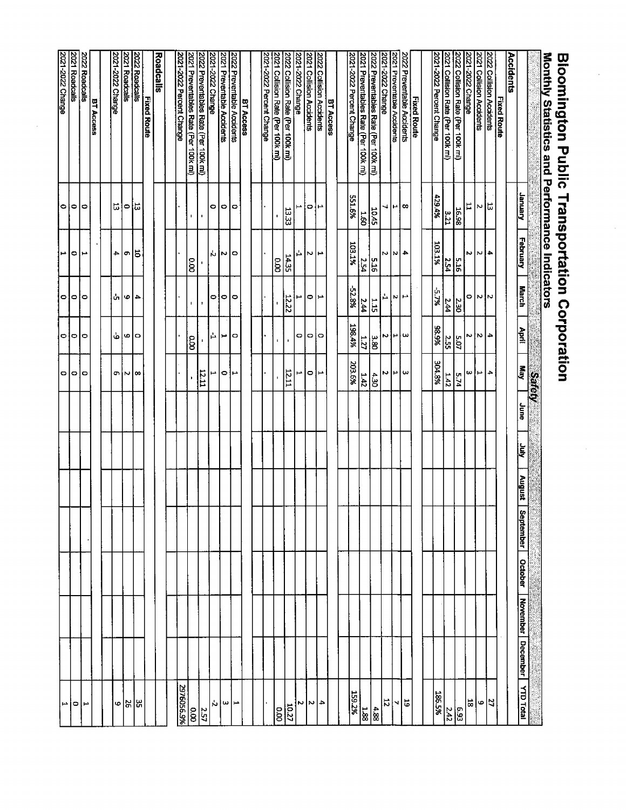| Bioomington Public Hansportation Corporation             |                           |                |                |                       |                          |      |        |        |           |         |                   |                   |
|----------------------------------------------------------|---------------------------|----------------|----------------|-----------------------|--------------------------|------|--------|--------|-----------|---------|-------------------|-------------------|
| Monthly Statistics and Performance Indicators            |                           |                |                |                       | Safety                   |      |        |        |           |         |                   |                   |
|                                                          | Vienuer                   | February       | <b>March</b>   | April                 | <b>Agy</b>               | June | ।<br>इ | August | September | October | November December | <b>YTD Total</b>  |
| <b>Accidents</b>                                         |                           |                |                |                       |                          |      |        |        |           |         |                   |                   |
| <b>Fixed Route</b>                                       |                           |                |                |                       |                          |      |        |        |           |         |                   |                   |
| 2022 Collision Accidents                                 | ಜ                         | 4              |                | 4                     | 4                        |      |        |        |           |         |                   | 2                 |
| 2021 Collision Accidents                                 | N                         | M              | ೦∣∾∣ು          | $\boldsymbol{\kappa}$ | I⊶                       |      |        |        |           |         |                   | Φ                 |
| 2021-2022 Change                                         | Ħ                         | N              |                | N                     | ω                        |      |        |        |           |         |                   | 18                |
| 2022 Collision Rate (Per 100k mi)                        | 16.98                     | 91°5           | 2.30           | <b>2.07</b>           | 5.74                     |      |        |        |           |         |                   |                   |
| 2021 Collision Rate (Per 100k mi)                        | 3.21                      | 2.54           | 2.44           | 2.55                  | 1.42                     |      |        |        |           |         |                   | $\frac{6.8}{242}$ |
| 2021-2022 Percent Change                                 | 429.4%                    | 103.1%         | %L'5-          | 98.9%                 | 304.8%                   |      |        |        |           |         |                   | 186.5%            |
| <b>Fixed Route</b>                                       |                           |                |                |                       |                          |      |        |        |           |         |                   |                   |
|                                                          | $\infty$                  | 4              | $\blacksquare$ | ω                     | ω                        |      |        |        |           |         |                   | 5                 |
| 2022 Preventable Accidents<br>2021 Preventable Accidents | H                         | ∾∣ผ            | $\mathbf{N}$   | H                     | H                        |      |        |        |           |         |                   | N                 |
| 2021-2022 Change                                         | Ł.                        |                | د              | N                     | N                        |      |        |        |           |         |                   | Ľ,                |
| 2022 Preventables Rate (Per 100k mi)                     | $\frac{10.45}{2}$         | 5.16           | 11             | بع<br>88              | 4.30                     |      |        |        |           |         |                   | 4.88              |
| 2021 Preventables Rate (Per 100k mi)                     | $\frac{1.60}{1.60}$       | 2.54           | 2.44           | 1.27                  | $\frac{1.42}{2}$         |      |        |        |           |         |                   | 1.88              |
| 2021-2022 Percent Change                                 | 551.6%                    | 103.1%         | 52.8%          | 198.4%                | 203.6%                   |      |        |        |           |         |                   | 159.2%            |
| <b>BT Access</b>                                         |                           |                |                |                       |                          |      |        |        |           |         |                   |                   |
| 2022 Collision Accidents                                 |                           | Ľ              | H              | $\bullet$             | $\overline{\phantom{a}}$ |      |        |        |           |         |                   | 4                 |
| 2021 Collision Accidents                                 | ∣o∤⊨                      | N              | $\circ$        | $\circ$               | $\bullet$                |      |        |        |           |         |                   | $\sim$            |
| 2021-2022 Change                                         | L                         | A.             | ⊢              | o                     | fad)                     |      |        |        |           |         |                   | N                 |
| 2022 Collision Rate (Per 100k mi)                        | 13.33                     | 14.35          | 12.22          | $\blacksquare$        | $\frac{12.11}{2}$        |      |        |        |           |         |                   | 10.27             |
| 2021 Collision Rate (Per 100k mi)                        |                           | <b>p.oo</b>    |                |                       |                          |      |        |        |           |         |                   | 00.0              |
| 2021-2022 Percent Change                                 |                           |                |                |                       |                          |      |        |        |           |         |                   |                   |
| <b>BT Access</b>                                         |                           |                |                |                       |                          |      |        |        |           |         |                   |                   |
| 2022 Preventable Accidents                               | 0                         |                | 0              | $\circ$               |                          |      |        |        |           |         |                   |                   |
| 2021 Preventable Accidents                               | $\circ$                   | ∾∣∽            | $\circ$        | Ľ                     | o∤⊨                      |      |        |        |           |         |                   | ∸∣ س  ن           |
| 2021-2022 Change                                         | ۰                         | Ÿ.             | ۰              | ∣∸                    | fm                       |      |        |        |           |         |                   |                   |
| 2022 Preventables Rate (Per 100k mi)                     | $\blacksquare$            |                | $\pmb{\cdot}$  |                       | 12.11                    |      |        |        |           |         |                   | 2.57              |
| 2021 Preventables Rate (Per 100k mi)                     |                           | $\overline{8}$ | $\mathbf{1}$   | $\overline{5}$        |                          |      |        |        |           |         |                   | $ \tilde{s} $     |
| 2021-2022 Percent Change                                 |                           |                |                |                       |                          |      |        |        |           |         |                   | 2976056.9%        |
| Roadcalls                                                |                           |                |                |                       |                          |      |        |        |           |         |                   |                   |
| <b>Fixed Route</b>                                       |                           |                |                |                       |                          |      |        |        |           |         |                   |                   |
| 2022 Roadcalls                                           | ⇔                         | 5              | $\Rightarrow$  | $\circ$               | ∞                        |      |        |        |           |         |                   | 있없                |
| <b>2021 Roadcalls</b>                                    |                           | o,             | Φ              | G                     | ຕ∣N                      |      |        |        |           |         |                   |                   |
| 2021-2022 Change                                         | r,                        | 4              | ů,             | ဖ                     |                          |      |        |        |           |         |                   | 6                 |
|                                                          |                           |                |                |                       |                          |      |        |        |           |         |                   |                   |
| 2022 Roadcalls<br><b>BT Access</b>                       |                           |                |                |                       |                          |      |        |        |           |         |                   | دم                |
| 2021 Roadcalls                                           |                           | ىر             |                |                       |                          |      |        |        |           |         |                   | ۰                 |
| 2021-2022 Change                                         | $  \circ   \circ   \circ$ | ا⊶             | 이이어            | $\circ$  0 0          | $\circ$  0 0             |      |        |        |           |         |                   | حمو               |
|                                                          |                           |                |                |                       |                          |      |        |        |           |         |                   |                   |

 $\alpha$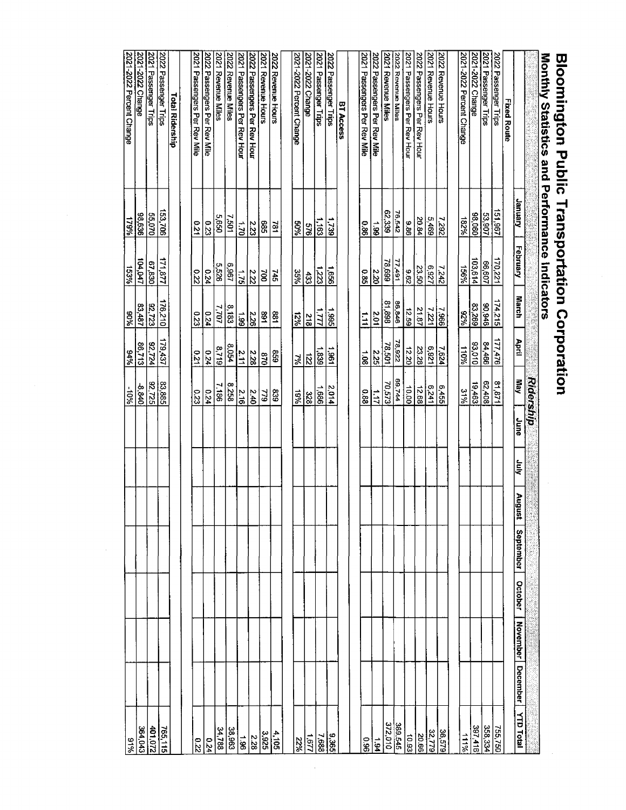| Monthly Statistics and Performance indicators |                  |                                    |                          |                       |                           |             |                    |           |         |                             |                  |
|-----------------------------------------------|------------------|------------------------------------|--------------------------|-----------------------|---------------------------|-------------|--------------------|-----------|---------|-----------------------------|------------------|
|                                               |                  |                                    |                          |                       | Ridership                 |             |                    |           |         |                             |                  |
|                                               | Vienuer          | February                           | <b>March</b>             | April                 | $\frac{M}{2}$             | <b>June</b> | ्<br>जून<br>August | September | October | November December YTD Total |                  |
| <b>Fixed Route</b>                            |                  |                                    |                          |                       |                           |             |                    |           |         |                             |                  |
|                                               | 151,967          | 170.221                            |                          | $\frac{177,476}{ }$   |                           |             |                    |           |         |                             | 755,750          |
| 2022 Passenger Trips<br>2021 Passenger Trips  | 53,907           | 66,607                             | $\frac{174,215}{90,946}$ | 84,466                | $rac{81,871}{62,408}$     |             |                    |           |         |                             | 358,334          |
| 2021-2022 Change                              | 98,060           | 103,614                            | 83,269                   | 93,010                | 19,463                    |             |                    |           |         |                             | 31418            |
| 2021-2022 Percent Change                      | 182%             | 156%                               | 9526                     | 110%                  | 31%                       |             |                    |           |         |                             | 34111            |
| 2022 Revenue Hours                            | 7.292            | $\frac{7242}{ }$                   | <br> 362                 |                       | 6,455                     |             |                    |           |         |                             | 36,579           |
| 2021 Revenue Hours                            | 5,469            | 28.9                               |                          | $\frac{7.624}{6.921}$ |                           |             |                    |           |         |                             | 32,779           |
| 2022 Passengers Per Rev Hour                  | 20.84            | 23.50                              | $\frac{7,221}{21.87}$    | $\frac{23.28}{28}$    | $rac{6.241}{12.68}$       |             |                    |           |         |                             | <b>30.66</b>     |
| 2021 Passengers Per Rev Hour                  | 98.9             | 29.6                               | 12.59                    | 12.20                 | 10.00                     |             |                    |           |         |                             | <b>C601</b>      |
|                                               | 76.542           | 77.491                             | 86,846                   | 78,922                | 69,744                    |             |                    |           |         |                             | 389.545          |
| 2022 Revenue Miles<br>2021 Revenue Miles      | 62,339           | 78,699                             | 81,898                   | 78,501                | 70,573                    |             |                    |           |         |                             | 372,010          |
| 2022 Passengers Per Rev Mile                  | 66 1             | 2.20                               | 2.01                     | 225                   | $\frac{1}{1}$             |             |                    |           |         |                             | - 1,94           |
| 2021 Passengers Per Rev Mile                  | $\frac{0.86}{1}$ | 98.0                               | $\ddot{=}$               | 1.08                  | 88.0                      |             |                    |           |         |                             | 96°0             |
| <b>BT Access</b>                              |                  |                                    |                          |                       |                           |             |                    |           |         |                             |                  |
| 2022 Passenger Trips                          | 1,739            | $\overline{\overline{\mathbf{g}}}$ | $\frac{1}{366}$          |                       | 2,014                     |             |                    |           |         |                             | 3929             |
| 2021 Passenger Trips                          | 1.163            | 1,223                              | 177                      | $\frac{1861}{1839}$   | $\frac{1.686}{1}$         |             |                    |           |         |                             | 7,688            |
| 2021-2022 Change                              | 9L5              | 433                                | 218                      | $\overline{z}$        | 328                       |             |                    |           |         |                             | 1.677            |
| 2021-2022 Percent Change                      | 9609             | 35%                                | 12%                      | $7\%$                 | 19%                       |             |                    |           |         |                             | 22%              |
|                                               | 781              |                                    |                          | 639                   | $\overline{\frac{83}{2}}$ |             |                    |           |         |                             | 4,105            |
| 2022 Revenue Hours<br>2021 Revenue Hours      | ခြွ              | 회원                                 | $\frac{8}{25}$           | $\frac{870}{2}$       | $\overline{5}$            |             |                    |           |         |                             | 3.925            |
| 2022 Passengers Per Rev Hour                  | 223              | 222                                | $\frac{2.26}{1}$         | 2.28                  | <b>2.40</b>               |             |                    |           |         |                             | $\frac{2.28}{3}$ |
| 2021 Passengers Per Rev Hour                  | $\vec{a}$        | 1.75                               | $\frac{1}{2}$            | 2.11                  | 2.16                      |             |                    |           |         |                             | $\frac{1}{8}$    |
| 2022 Revenue Miles                            | 7,501            | 196'9                              | 8,183                    | 8,054                 | 8528                      |             |                    |           |         |                             | 38,963           |
| 2021 Revenue Miles                            | 650              | $\frac{1}{32}$                     | 7,707                    | 8,719                 | 7,186                     |             |                    |           |         |                             | 34,788           |
| 2022 Passengers Per Rev Mile                  | 0.23             | 724                                | 0.24                     | 14                    | $\frac{0.24}{1}$          |             |                    |           |         |                             | <b>PZ0</b>       |
| 2021 Passengers Per Rev Mile                  | 521              | $\overline{z}$                     | 0.23                     | $\overline{21}$       | 0.23                      |             |                    |           |         |                             | <b>0.22</b>      |
| <b>Total Ridership</b>                        |                  |                                    |                          |                       |                           |             |                    |           |         |                             |                  |
| 2022 Passenger Trips                          | 153,706          | 171,877                            | 176,210                  | 179,437               |                           |             |                    |           |         |                             | 765,115          |
| 2021 Passenger Trips                          | 55,070           | 67,830                             | <u>82,723</u>            | $\frac{92.724}{ }$    | $\frac{82}{22.725}$       |             |                    |           |         |                             | 401,072          |
| 2021-2022 Change                              | 98,636           | 104,047                            | 83,487                   | 86,713                | 8,840                     |             |                    |           |         |                             | 364,043          |
| 2021-2022 Percent Change                      | 179%             | 153%                               | %06                      | %56                   | -10%                      |             |                    |           |         |                             | 218              |

 $\label{eq:2.1} \frac{1}{\sqrt{2}}\left(\frac{1}{\sqrt{2}}\right)^{2} \left(\frac{1}{\sqrt{2}}\right)^{2} \left(\frac{1}{\sqrt{2}}\right)^{2}$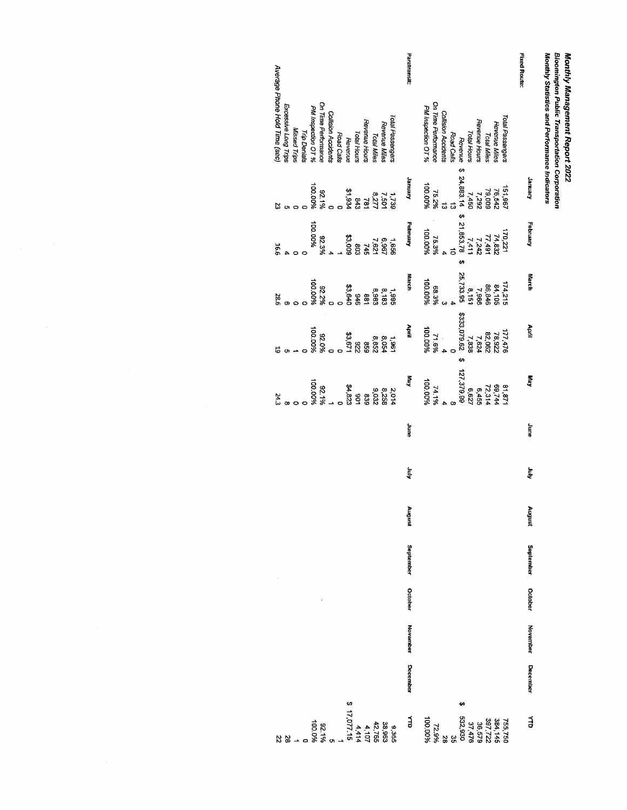|                                                                                                                                                                                                                                                                        | Paratransit:                                                                                                                                                                                                                                         | <b>Fixed Route:</b>                                                                                                                     |
|------------------------------------------------------------------------------------------------------------------------------------------------------------------------------------------------------------------------------------------------------------------------|------------------------------------------------------------------------------------------------------------------------------------------------------------------------------------------------------------------------------------------------------|-----------------------------------------------------------------------------------------------------------------------------------------|
| Average Phone Hold Time (sec)<br>On Time Performance<br>Excessive Long Trips<br>PM Inspection OT %<br>Collision Accidents<br>Total Passengers<br>Revenue Hours<br>Total Hours<br>Revenue Miles<br>Missed Trips<br>Trip Denials<br>Total Miles<br>Road Calls<br>Revenue | On Time Performance<br>PM Inspection OT %<br>Collision Accidents<br>Total Passengers<br>Revenue Hours<br>Revenue Miles<br>Total Hours<br>Revenue<br>Road Calis<br><b>Total Miles</b>                                                                 | Monthly Statistics and Performance Indicators<br><b>Bioomington Public Transportation Corporation</b><br>Monthly Management Report 2022 |
| $\begin{array}{ll} \ast & \ast & \ast & \ast \\ \ast & \ast & \ast & \ast \\ \ast & \ast & \ast & \ast \\ \ast & \ast & \ast & \ast \\ \ast & \ast & \ast & \ast \\ \ast & \ast & \ast & \ast \\ \ast & \ast & \ast & \ast \end{array}$                                | $\frac{7,292}{7,450}$<br>$\frac{7,292}{4,883,14}$<br>January<br>52<br>%2.2%<br>20.00%<br>20.00%<br>151,967<br>76,542<br>79,009                                                                                                                       | January                                                                                                                                 |
| 100.00%<br>$1.838$<br>$1.838$<br>$1.838$<br>$1.838$<br>$1.838$<br>$1.838$<br>$1.438$<br>$1.438$<br>92.3%<br>99L                                                                                                                                                        | $\begin{array}{cc}\n 111 \\  114 \\  215 \\  316 \\  417 \\  520 \\  724 \\  8\n\end{array}$<br>$\begin{array}{cc}\n 114, 132 \\  124 \\  144 \\  154 \\  164 \\  1724 \\  1853, 18\n\end{array}$<br>February<br>96001004<br>%8234<br>01<br>01<br>s, | February                                                                                                                                |
| - 1967<br>1970: 1970: 1970: 1970: 1970: 1970: 1970: 1970: 1970: 1970<br>1970: 1970: 1970: 1970: 1970: 1970: 1970: 1970: 1970: 1970: 1970: 1970: 1970: 1970: 1970: 1970: 1970: 1970: 1<br>28.6                                                                          | $\begin{array}{l} 774,215 \\ 84,105 \\ 86,86 \\ 7,966 \\ 8,151 \\ 8,133.95 \\ 25,733.95 \\ \end{array}$<br>March<br>$438.3\%$<br>$68.3\%$<br>100.00%                                                                                                 | March                                                                                                                                   |
|                                                                                                                                                                                                                                                                        | $\begin{array}{l} 29\,610\\233\,332\,079\\21\,082\\22\,07\\233\,079\,62\\7\,083\\2\,323\,079\,62\\7\,083\end{array}$<br>hril<br>$9400,0001$<br>$71.6\%$<br>$71.6\%$                                                                                  | 률                                                                                                                                       |
| %00'001<br>%1'76<br>ន្ត<br>នឹទ្ធន្លឹ<br>កំពូង<br>24.3                                                                                                                                                                                                                  | ø<br>$72,314$<br>$6,455$<br>$6,627$<br>$127,379.99$<br><b>Key</b><br>74.1%<br>100.00%<br>81.871<br>69,744                                                                                                                                            | Aun                                                                                                                                     |
|                                                                                                                                                                                                                                                                        | <b>Sunt</b>                                                                                                                                                                                                                                          | June                                                                                                                                    |
|                                                                                                                                                                                                                                                                        | ξĒ                                                                                                                                                                                                                                                   | i<br>E                                                                                                                                  |
|                                                                                                                                                                                                                                                                        | hangust                                                                                                                                                                                                                                              | haupust                                                                                                                                 |
|                                                                                                                                                                                                                                                                        | September                                                                                                                                                                                                                                            | September                                                                                                                               |
|                                                                                                                                                                                                                                                                        | October                                                                                                                                                                                                                                              | October                                                                                                                                 |
|                                                                                                                                                                                                                                                                        | November                                                                                                                                                                                                                                             | <b>November</b>                                                                                                                         |
|                                                                                                                                                                                                                                                                        | December                                                                                                                                                                                                                                             | <b>December</b>                                                                                                                         |
| $4,414$<br>$$17,077.15$<br>361.26<br>%1.26<br>$38888888$<br>$42410$<br>$410$<br>$-88$                                                                                                                                                                                  | ₩<br>$\vec{a}$<br>38<br>2.9%<br>82.9%<br>755,750<br>386,577<br>396,579<br>532,930<br>532,930<br>ري<br>وي                                                                                                                                             | á                                                                                                                                       |

 $\label{eq:2.1} \frac{1}{\sqrt{2}}\left(\frac{1}{\sqrt{2}}\right)^{2} \left(\frac{1}{\sqrt{2}}\right)^{2} \left(\frac{1}{\sqrt{2}}\right)^{2} \left(\frac{1}{\sqrt{2}}\right)^{2} \left(\frac{1}{\sqrt{2}}\right)^{2} \left(\frac{1}{\sqrt{2}}\right)^{2} \left(\frac{1}{\sqrt{2}}\right)^{2} \left(\frac{1}{\sqrt{2}}\right)^{2} \left(\frac{1}{\sqrt{2}}\right)^{2} \left(\frac{1}{\sqrt{2}}\right)^{2} \left(\frac{1}{\sqrt{2}}\right)^{2} \left(\$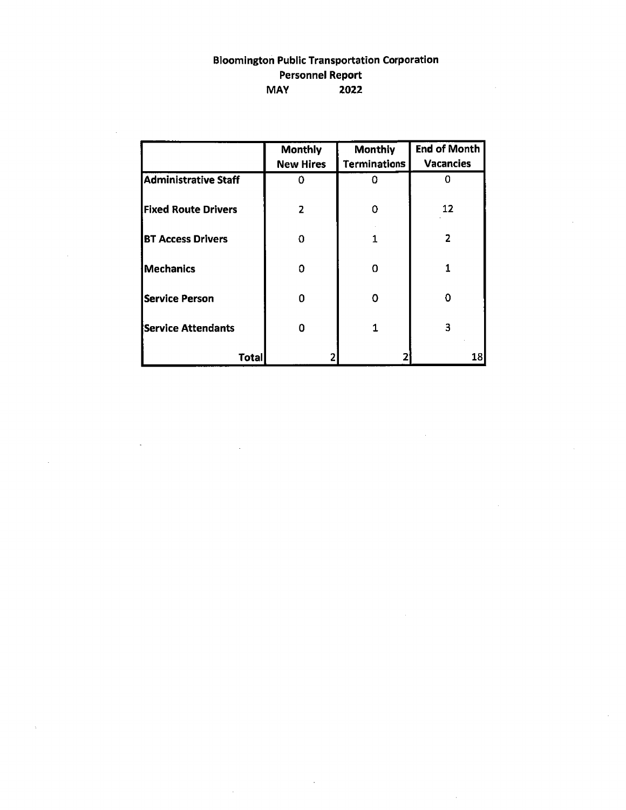# **Bloomington Public Transportation Corporation Personnel Report MAY 2022**

 $\mathcal{A}$ 

 $\ddot{\phantom{a}}$ 

l.

 $\bar{z}$ 

 $\sim$ 

 $\hat{\boldsymbol{\beta}}$ 

|                             | Monthly<br><b>New Hires</b> | Monthly<br><b>Terminations</b> | <b>End of Month</b><br><b>Vacancies</b> |
|-----------------------------|-----------------------------|--------------------------------|-----------------------------------------|
| <b>Administrative Staff</b> | 0                           | O                              | n                                       |
| <b>Fixed Route Drivers</b>  | 2                           | 0                              | 12                                      |
| <b>BT Access Drivers</b>    | ດ                           | 1                              | 2                                       |
| Mechanics                   | Ω                           | O                              |                                         |
| <b>Service Person</b>       | Π                           | Ω                              | O                                       |
| <b>l</b> Service Attendants | n                           |                                | 3                                       |
| Total                       |                             |                                | 18                                      |

 $\sim$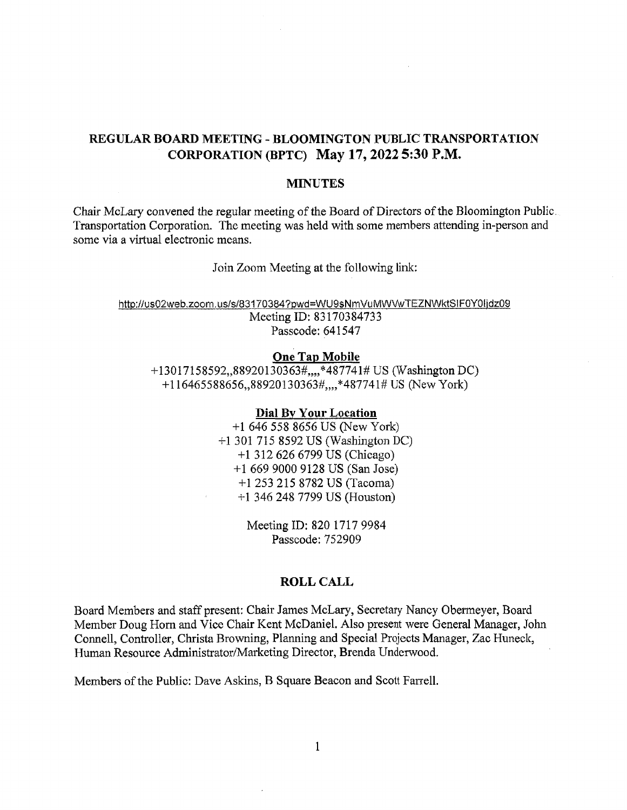# **REGULAR BOARD MEETING - BLOOMINGTON PUBLIC TRANSPORTATION CORPORATION (BPTC) May 17, 2022 5:30 P.M.**

#### **MINUTES**

Chair McLary convened the regular meeting of the Board of Directors of the Bloomington Public. Transportation Corporation. The meeting was held with some members attending in-person and some via a virtual electronic means.

Join Zoom Meeting at the following link:

http://us02web.zoom.us/s/83170384?pwd=WU9sNmVuMWVwTEZNWktSlF0Y0fjdz09 Meeting ID: 83170384733 Passcode: 641547

#### **One Tap Mobile**

 $+13017158592, 88920130363\frac{4}{1000}$  \*487741# US (Washington DC)  $+116465588656$ ,  $88920130363$ #,  $*487741$ # US (New York)

#### **Dial By Your Location**

+1 646 558 8656 US (New York) +1 301 715 8592 US (Washington DC) +1 312 626 6799 US (Chicago) +1 669 9000 9128 US (San Jose) +1 253 215 8782 US (Tacoma) +1 346 248 7799 US (Houston)

> Meeting ID: 820 1717 9984 Passcode: 752909

#### **ROLL CALL**

Board Members and staff present: Chair James McLary, Secretary Nancy Obermeyer, Board Member Doug Horn and Vice Chair Kent McDaniel. Also present were General Manager, John Connell, Controller, Christa Browning, Planning and Special Projects Manager, Zac Huneck, Human Resource Administrator/Marketing Director, Brenda Underwood.

Members of the Public: Dave Askins, B Square Beacon and Scott Farrell.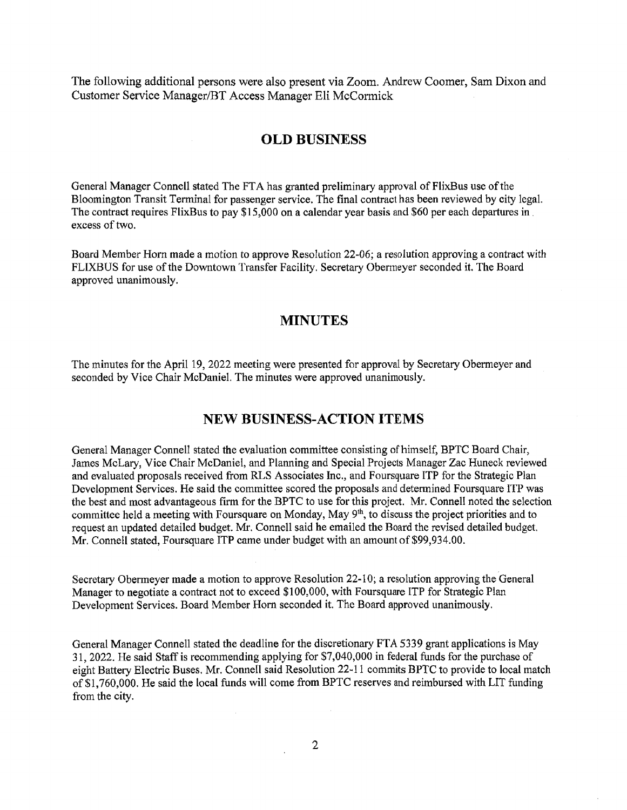The following additional persons were also present via Zoom. Andrew Coomer, Sam Dixon and Customer Service Manager/BT Access Manager Eli McCormick

#### **OLD BUSINESS**

General Manager Connell stated The FTA has granted preliminary approval of FlixBus use of the Bloomington Transit Terminal for passenger service. The final contract has been reviewed by city legal. The contract requires FlixBus to pay \$15,000 on a calendar year basis and \$60 per each departures in excess of two.

Board Member Horn made a motion to approve Resolution 22-06; a resolution approving a contract with FLIXBUS for use of the Downtown Transfer Facility. Secretary Obermeyer seconded it. The Board approved unanimously.

#### **MINUTES**

The minutes for the April 19, 2022 meeting were presented for approval by Secretary Obermeyer and seconded by Vice Chair McDaniel. The minutes were approved unanimously.

#### **NEW BUSINESS-ACTION ITEMS**

General Manager Connell stated the evaluation committee consisting of himself, BPTC Board Chair, James McLary, Vice Chair McDaniel, and Planning and Special Projects Manager Zac Huneck reviewed and evaluated proposals received from RLS Associates Inc., and Foursquare ITP for the Strategic Plan Development Services. He said the committee scored the proposals and determined Foursquare ITP was the best and most advantageous firm for the BPTC to use for this project. Mr. Connell noted the selection committee held a meeting with Foursquare on Monday, May 9<sup>th</sup>, to discuss the project priorities and to request an updated detailed budget. Mr. Connell said he emailed the Board the revised detailed budget. Mr. Connell stated, Foursquare ITP came under budget with an amount of \$99,934.00.

Secretary Obermeyer made a motion to approve Resolution 22-10; a resolution approving the General Manager to negotiate a contract not to exceed \$100,000, with Foursquare ITP for Strategic Plan Development Services. Board Member Horn seconded it. The Board approved unanimously.

General Manager Connell stated the deadline for the discretionary FTA 5339 grant applications is May 31, 2022. He said Staff is recommending applying for \$7,040,000 in federal funds for the purchase of eight Battery Electric Buses. Mr. Connell said Resolution 22-11 commits BPTC to provide to local match of \$1,760,000. He said the local funds will come from BPTC reserves and reimbursed with LIT funding from the city.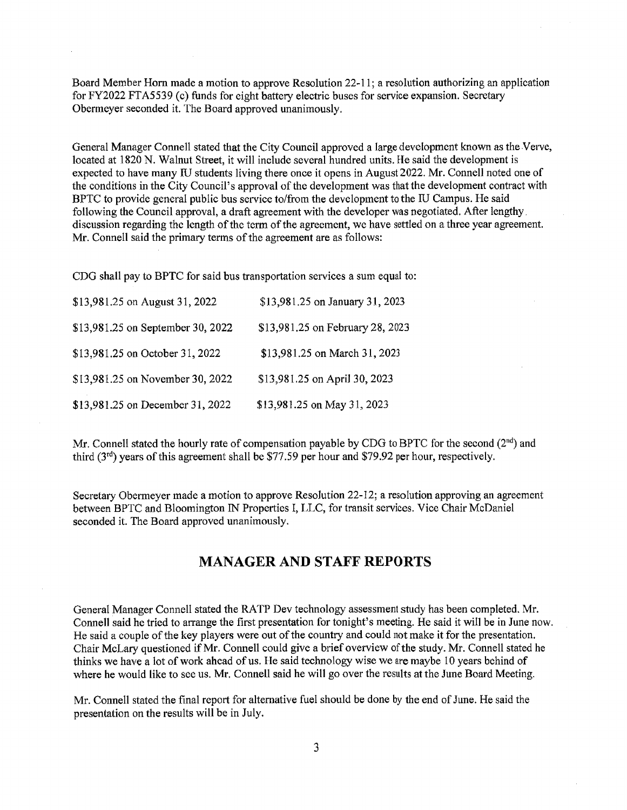Board Member Horn made a motion to approve Resolution 22-11; a resolution authorizing an application for FY2022 FTA5539 (c) funds for eight battery electric buses for service expansion. Secretary Obermeyer seconded it. The Board approved unanimously.

General Manager Connell stated that the City Council approved a large development known as the Verve, located at 1820 N. Walnut Street, it will include several hundred units. He said the development is expected to have many IU students living there once it opens in August 2022. Mr. Connell noted one of the conditions in the City Council's approval of the development was that the development contract with BPTC to provide general public bus service to/from the development to the IU Campus. He said following the Council approval, a draft agreement with the developer was negotiated. After lengthy, discussion regarding the length of the term of the agreement, we have settled on a three year agreement. Mr. Connell said the primary terms of the agreement are as follows:

CDG shall pay to BPTC for said bus transportation services a sum equal to:

| \$13,981.25 on August 31, 2022    | \$13,981.25 on January 31, 2023  |
|-----------------------------------|----------------------------------|
| \$13,981.25 on September 30, 2022 | \$13,981.25 on February 28, 2023 |
| \$13,981.25 on October 31, 2022   | \$13,981.25 on March 31, 2023    |
| \$13,981.25 on November 30, 2022  | \$13,981.25 on April 30, 2023    |
| \$13,981.25 on December 31, 2022  | \$13,981.25 on May 31, 2023      |

Mr. Connell stated the hourly rate of compensation payable by CDG to BPTC for the second (2<sup>nd</sup>) and third (3rd) years of this agreement shall be \$77.59 per hour and \$79.92 per hour, respectively.

Secretary Obermeyer made a motion to approve Resolution 22-12; a resolution approving an agreement between BPTC and Bloomington IN Properties I, LLC, for transit services. Vice Chair McDaniel seconded it. The Board approved unanimously.

# **MANAGER AND STAFF REPORTS**

General Manager Connell stated the RATP Dev technology assessment study has been completed. Mr. Connell said he tried to arrange the first presentation for tonight's meeting. He said it will be in June now. He said a couple of the key players were out of the country and could not make it for the presentation. Chair McLary questioned if Mr. Connell could give a brief overview of the study. Mr. Connell stated he thinks we have a lot of work ahead of us. He said technology wise we are maybe 10 years behind of where he would like to see us. Mr. Connell said he will go over the results at the June Board Meeting.

Mr. Connell stated the final report for alternative fuel should be done by the end of June. He said the presentation on the results will be in July.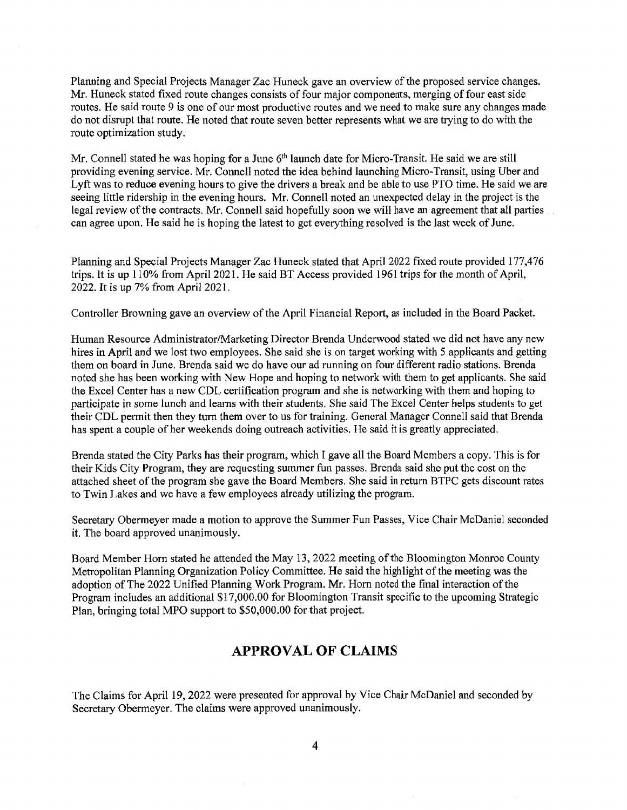Planning and Special Projects Manager Zac Huneck gave an overview of the proposed service changes. Mr. Huneck stated fixed route changes consists of four major components, merging of four east side routes. He said route 9 is one of our most productive routes and we need to make sure any changes made do not disrupt that route. He noted that route seven better represents what we are trying to do with the route optimization study.

Mr. Connell stated he was hoping for a June 6<sup>th</sup> launch date for Micro-Transit. He said we are still providing evening service. Mr. Connell noted the idea behind launching Micro-Transit, using Uber and Lyft was to reduce evening hours to give the drivers a break and be able to use PTO time. He said we are seeing little ridership in the evening hours. Mr. Connell noted an unexpected delay in the project is the legal review of the contracts. Mr. Connell said hopefully soon we will have an agreement that all parties can agree upon. He said he is hoping the latest to get everything resolved is the last week of June.

Planning and Special Projects Manager Zac Huneck stated that April 2022 fixed route provided 177,476 trips. It is up 110% from April 2021, He said BT Access provided 1961 trips for the month of April, 2022. It is up 7% from April 2021.

Controller Browning gave an overview of the April Financial Report, as included in the Board Packet,

Human Resource Administrator/Marketing Director Brenda Underwood stated we did not have any new hires in April and we lost two employees. She said she is on target working with 5 applicants and getting them on board in June. Brenda said we do have our ad running on four different radio stations. Brenda noted she has been working with New Hope and hoping to network with them to get applicants. She said the Excel Center has a new CDL certification program and she is networking with them and hoping to participate in some lunch and learns with their students. She said The Excel Center helps students to get their CDL permit then they turn them over to us for training. General Manager Connell said that Brenda has spent a couple of her weekends doing outreach activities. He said it is greatly appreciated.

Brenda stated the City Parks has their program, which I gave all the Board Members a copy. This is for their Kids City Program, they are requesting summer fun passes. Brenda said she put the cost on the attached sheet of the program she gave the Board Members. She said in return BTPC gets discount rates to Twin Lakes and we have a few employees already utilizing the program.

Secretary Obermeyer made a motion to approve the Summer Fun Passes, Vice Chair McDaniel seconded it. The board approved unanimously.

Board Member Horn stated he attended the May 13,2022 meeting of the Bloomington Monroe County Metropolitan Planning Organization Policy Committee. He said the highlight of the meeting was the adoption of The 2022 Unified Planning Work Program. Mr. Horn noted the final interaction of the Program includes an additional \$17,000.00 for Bloomington Transit specific to the upcoming Strategic Plan, bringing total MPO support to \$50,000.00 for that project.

# **APPROVAL OF CLAIMS**

The Claims for April 19, 2022 were presented for approval by Vice Chair McDaniel and seconded by Secretary Obermeyer. The claims were approved unanimously.